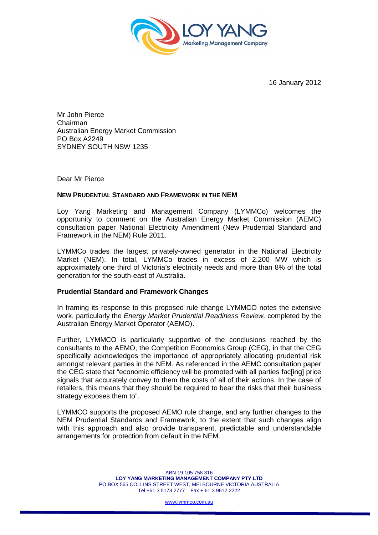

16 January 2012

Mr John Pierce Chairman Australian Energy Market Commission PO Box A2249 SYDNEY SOUTH NSW 1235

Dear Mr Pierce

## **NEW PRUDENTIAL STANDARD AND FRAMEWORK IN THE NEM**

Loy Yang Marketing and Management Company (LYMMCo) welcomes the opportunity to comment on the Australian Energy Market Commission (AEMC) consultation paper National Electricity Amendment (New Prudential Standard and Framework in the NEM) Rule 2011.

LYMMCo trades the largest privately-owned generator in the National Electricity Market (NEM). In total, LYMMCo trades in excess of 2,200 MW which is approximately one third of Victoria's electricity needs and more than 8% of the total generation for the south-east of Australia.

## **Prudential Standard and Framework Changes**

In framing its response to this proposed rule change LYMMCO notes the extensive work, particularly the *Energy Market Prudential Readiness Review*, completed by the Australian Energy Market Operator (AEMO).

Further, LYMMCO is particularly supportive of the conclusions reached by the consultants to the AEMO, the Competition Economics Group (CEG), in that the CEG specifically acknowledges the importance of appropriately allocating prudential risk amongst relevant parties in the NEM. As referenced in the AEMC consultation paper the CEG state that "economic efficiency will be promoted with all parties fac[ing] price signals that accurately convey to them the costs of all of their actions. In the case of retailers, this means that they should be required to bear the risks that their business strategy exposes them to".

LYMMCO supports the proposed AEMO rule change, and any further changes to the NEM Prudential Standards and Framework, to the extent that such changes align with this approach and also provide transparent, predictable and understandable arrangements for protection from default in the NEM.

www.lymmco.com.au